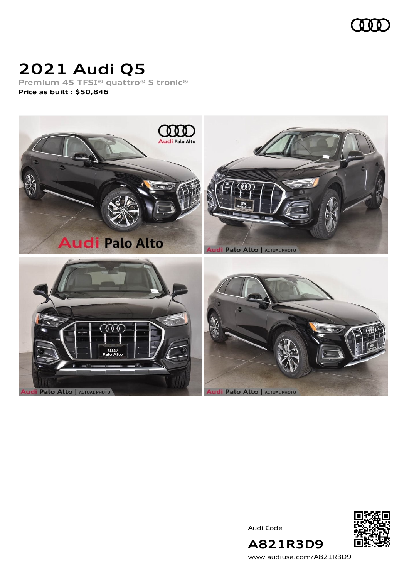

## **2021 Audi Q5**

**Premium 45 TFSI® quattro® S tronic® Price as built [:](#page-10-0) \$50,846**



Audi Code



[www.audiusa.com/A821R3D9](https://www.audiusa.com/A821R3D9)

**A821R3D9**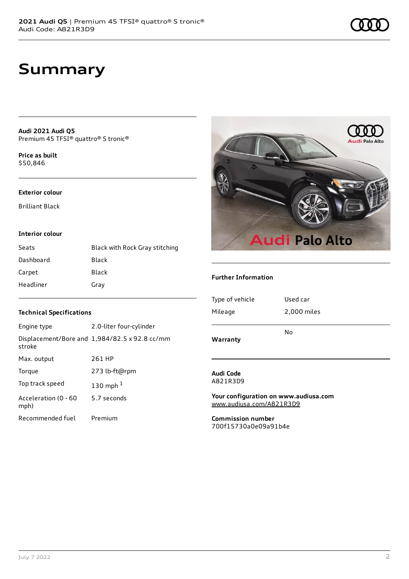## **Summary**

**Audi 2021 Audi Q5** Premium 45 TFSI® quattro® S tronic®

**Price as buil[t](#page-10-0)** \$50,846

#### **Exterior colour**

Brilliant Black

#### **Interior colour**

| Seats     | Black with Rock Gray stitching |
|-----------|--------------------------------|
| Dashboard | Black                          |
| Carpet    | Black                          |
| Headliner | Gray                           |

# **Audi Palo Alto Audi Palo Alto**

#### **Further Information**

| Warranty        |             |
|-----------------|-------------|
|                 | No          |
| Mileage         | 2,000 miles |
| Type of vehicle | Used car    |
|                 |             |

#### **Audi Code** A821R3D9

**Your configuration on www.audiusa.com** [www.audiusa.com/A821R3D9](https://www.audiusa.com/A821R3D9)

**Commission number** 700f15730a0e09a91b4e

#### **Technical Specifications**

| Engine type                  | 2.0-liter four-cylinder                       |
|------------------------------|-----------------------------------------------|
| stroke                       | Displacement/Bore and 1,984/82.5 x 92.8 cc/mm |
| Max. output                  | 261 HP                                        |
| Torque                       | 273 lb-ft@rpm                                 |
| Top track speed              | 130 mph $1$                                   |
| Acceleration (0 - 60<br>mph) | 5.7 seconds                                   |
| Recommended fuel             | Premium                                       |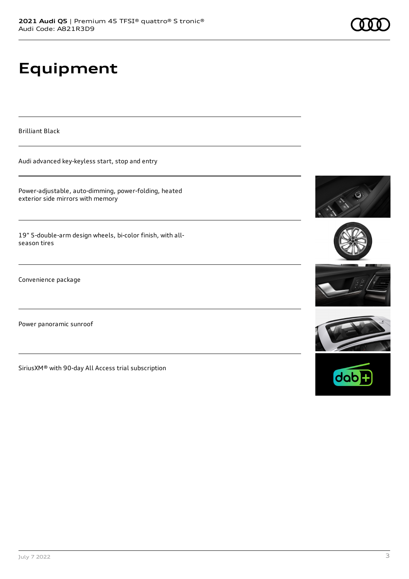# **Equipment**

Brilliant Black

Audi advanced key-keyless start, stop and entry

Power-adjustable, auto-dimming, power-folding, heated exterior side mirrors with memory

19" 5-double-arm design wheels, bi-color finish, with allseason tires

Convenience package

Power panoramic sunroof

SiriusXM® with 90-day All Access trial subscription









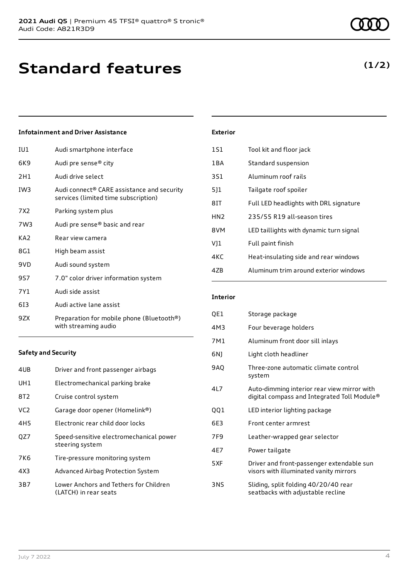## **Infotainment and Driver Assistance**

| IU1             | Audi smartphone interface                                                          |
|-----------------|------------------------------------------------------------------------------------|
| 6K9             | Audi pre sense® city                                                               |
| 2H1             | Audi drive select                                                                  |
| IW3             | Audi connect® CARE assistance and security<br>services (limited time subscription) |
| 7X2             | Parking system plus                                                                |
| 7W3             | Audi pre sense® basic and rear                                                     |
| KA <sub>2</sub> | Rear view camera                                                                   |
| 8G1             | High beam assist                                                                   |
| 9VD             | Audi sound system                                                                  |
| 9S7             | 7.0" color driver information system                                               |
| 7Y1             | Audi side assist                                                                   |
| 613             | Audi active lane assist                                                            |
| 9ZX             | Preparation for mobile phone (Bluetooth®)<br>with streaming audio                  |

#### **Safety and Security**

| 4UB             | Driver and front passenger airbags                              |
|-----------------|-----------------------------------------------------------------|
| UH1             | Electromechanical parking brake                                 |
| 8T2             | Cruise control system                                           |
| VC <sub>2</sub> | Garage door opener (Homelink®)                                  |
| 4H5             | Electronic rear child door locks                                |
| OZ7             | Speed-sensitive electromechanical power<br>steering system      |
| 7K6             | Tire-pressure monitoring system                                 |
| 4X3             | Advanced Airbag Protection System                               |
| 3B7             | Lower Anchors and Tethers for Children<br>(LATCH) in rear seats |

| <b>Exterior</b> |                                         |
|-----------------|-----------------------------------------|
| 1S1             | Tool kit and floor jack                 |
| 1BA             | Standard suspension                     |
| 3S1             | Aluminum roof rails                     |
| 511             | Tailgate roof spoiler                   |
| 8IT             | Full LED headlights with DRL signature  |
| HN <sub>2</sub> | 235/55 R19 all-season tires             |
| 8VM             | LED taillights with dynamic turn signal |
| VJ1             | Full paint finish                       |
| 4KC             | Heat-insulating side and rear windows   |
| 47B             | Aluminum trim around exterior windows   |

## **Interior**

| QE1  | Storage package                                                                            |
|------|--------------------------------------------------------------------------------------------|
| 4M3  | Four beverage holders                                                                      |
| 7M1  | Aluminum front door sill inlays                                                            |
| 6N)  | Light cloth headliner                                                                      |
| 9AQ  | Three-zone automatic climate control<br>system                                             |
| 417  | Auto-dimming interior rear view mirror with<br>digital compass and Integrated Toll Module® |
| QQ1  | LED interior lighting package                                                              |
| 6E3  | Front center armrest                                                                       |
| 7F9  | Leather-wrapped gear selector                                                              |
| 4F7  | Power tailgate                                                                             |
| 5 XF | Driver and front-passenger extendable sun<br>visors with illuminated vanity mirrors        |
| 3NS  | Sliding, split folding 40/20/40 rear<br>seatbacks with adjustable recline                  |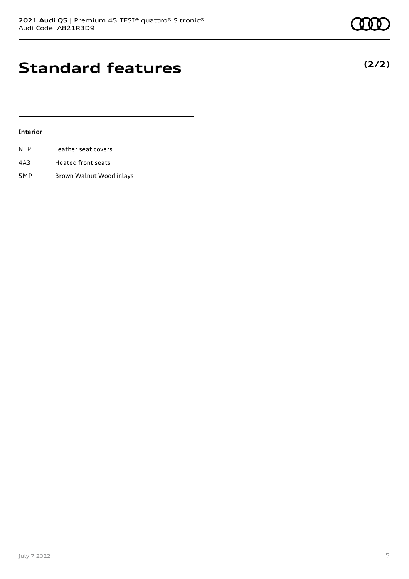## **Standard features**

## **Interior**

| N1P | Leather seat covers |  |
|-----|---------------------|--|
|     |                     |  |

- 4A3 Heated front seats
- 5MP Brown Walnut Wood inlays



**(2/2)**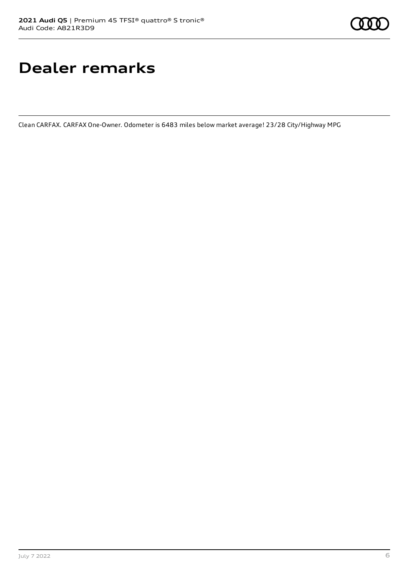## **Dealer remarks**

Clean CARFAX. CARFAX One-Owner. Odometer is 6483 miles below market average! 23/28 City/Highway MPG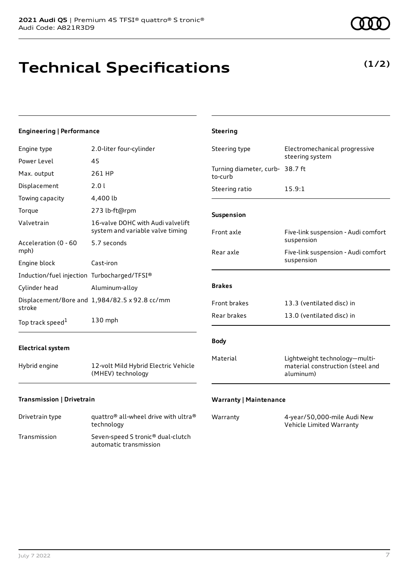## **Technical Specifications**

**(1/2)**

| <b>Engineering   Performance</b>            |                                                                       | <b>Steering</b>                            |                                                                                |
|---------------------------------------------|-----------------------------------------------------------------------|--------------------------------------------|--------------------------------------------------------------------------------|
| Engine type                                 | 2.0-liter four-cylinder                                               | Steering type                              | Electromechanical progressive<br>steering system                               |
| Power Level                                 | 45                                                                    |                                            |                                                                                |
| Max. output                                 | 261 HP                                                                | Turning diameter, curb- 38.7 ft<br>to-curb |                                                                                |
| Displacement                                | 2.0 l                                                                 | Steering ratio                             | 15.9:1                                                                         |
| Towing capacity                             | 4,400 lb                                                              |                                            |                                                                                |
| Torque                                      | 273 lb-ft@rpm                                                         | Suspension                                 |                                                                                |
| Valvetrain                                  | 16-valve DOHC with Audi valvelift<br>system and variable valve timing | Front axle                                 | Five-link suspension - Audi comfort                                            |
| Acceleration (0 - 60<br>mph)                | 5.7 seconds                                                           | Rear axle                                  | suspension<br>Five-link suspension - Audi comfort                              |
| Engine block                                | Cast-iron                                                             |                                            | suspension                                                                     |
| Induction/fuel injection Turbocharged/TFSI® |                                                                       |                                            |                                                                                |
| Cylinder head                               | Aluminum-alloy                                                        | <b>Brakes</b>                              |                                                                                |
| stroke                                      | Displacement/Bore and 1,984/82.5 x 92.8 cc/mm                         | Front brakes                               | 13.3 (ventilated disc) in                                                      |
| Top track speed <sup>1</sup>                | 130 mph                                                               | Rear brakes                                | 13.0 (ventilated disc) in                                                      |
| <b>Electrical system</b>                    |                                                                       | <b>Body</b>                                |                                                                                |
| Hybrid engine                               | 12-volt Mild Hybrid Electric Vehicle<br>(MHEV) technology             | Material                                   | Lightweight technology-multi-<br>material construction (steel and<br>aluminum) |
| Transmission   Drivetrain                   |                                                                       | <b>Warranty   Maintenance</b>              |                                                                                |

| Drivetrain type | quattro <sup>®</sup> all-wheel drive with ultra <sup>®</sup><br>technology |
|-----------------|----------------------------------------------------------------------------|
| Transmission    | Seven-speed S tronic <sup>®</sup> dual-clutch<br>automatic transmission    |

| Warranty | 4-year/50,000-mile Audi New |
|----------|-----------------------------|
|          | Vehicle Limited Warranty    |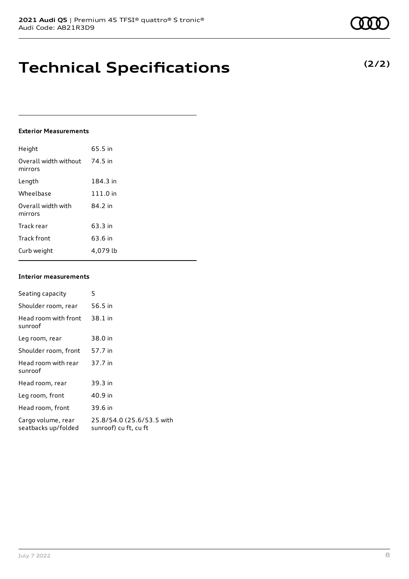## **Technical Specifications**

#### **Exterior Measurements**

| Height                           | 65.5 in  |
|----------------------------------|----------|
| Overall width without<br>mirrors | 74.5 in  |
| Length                           | 184.3 in |
| Wheelbase                        | 111.0 in |
| Overall width with<br>mirrors    | 84.2 in  |
| Track rear                       | 63.3 in  |
| Track front                      | 63.6 in  |
| Curb weight                      | 4.079 lb |

#### **Interior measurements**

| Seating capacity                          | 5                                                  |
|-------------------------------------------|----------------------------------------------------|
| Shoulder room, rear                       | 56.5 in                                            |
| Head room with front<br>sunroof           | 38.1 in                                            |
| Leg room, rear                            | 38.0 in                                            |
| Shoulder room, front                      | 57.7 in                                            |
| Head room with rear<br>sunroof            | 37.7 in                                            |
| Head room, rear                           | 39.3 in                                            |
| Leg room, front                           | 40.9 in                                            |
| Head room, front                          | 39.6 in                                            |
| Cargo volume, rear<br>seatbacks up/folded | 25.8/54.0 (25.6/53.5 with<br>sunroof) cu ft, cu ft |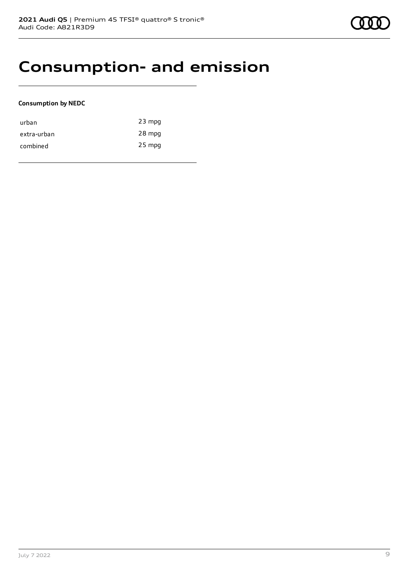## **Consumption- and emission**

## **Consumption by NEDC**

| urban       | $23$ mpg |
|-------------|----------|
| extra-urban | 28 mpg   |
| combined    | $25$ mpg |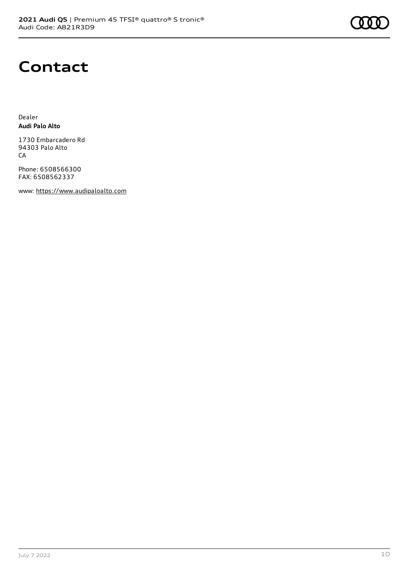

## **Contact**

Dealer **Audi Palo Alto**

1730 Embarcadero Rd 94303 Palo Alto CA

Phone: 6508566300 FAX: 6508562337

www: [https://www.audipaloalto.com](https://www.audipaloalto.com/)